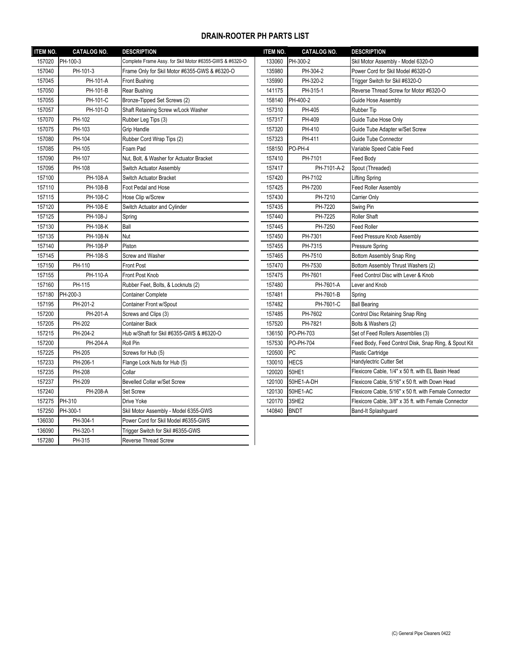## **DRAIN-ROOTER PH PARTS LIST**

| PH-100-3<br>PH-300-2<br>157020<br>Complete Frame Assy. for Skil Motor #6355-GWS & #6320-O<br>133060<br>Skil Motor Assembly - Model 6320-O<br>Power Cord for Skil Model #6320-O<br>157040<br>PH-101-3<br>Frame Only for Skil Motor #6355-GWS & #6320-O<br>135980<br>PH-304-2<br>157045<br>PH-101-A<br>PH-320-2<br>Front Bushing<br>135990<br>Trigger Switch for Skil #6320-O<br>157050<br>PH-101-B<br>141175<br>PH-315-1<br>Reverse Thread Screw for Motor #6320-O<br>Rear Bushing<br>157055<br>PH-101-C<br>Bronze-Tipped Set Screws (2)<br>158140<br>PH-400-2<br>Guide Hose Assembly<br>157057<br>PH-101-D<br>PH-405<br>Shaft Retaining Screw w/Lock Washer<br>157310<br>Rubber Tip<br>157070<br>PH-102<br>Rubber Leg Tips (3)<br>157317<br>PH-409<br>Guide Tube Hose Only<br>157075<br>PH-103<br>Grip Handle<br>157320<br>PH-410<br>Guide Tube Adapter w/Set Screw<br>PH-411<br>157080<br>PH-104<br>Rubber Cord Wrap Tips (2)<br>157323<br>Guide Tube Connector<br>157085<br>PH-105<br>PO-PH-4<br>Foam Pad<br>158150<br>Variable Speed Cable Feed<br>157090<br>PH-107<br>PH-7101<br>Nut, Bolt, & Washer for Actuator Bracket<br>157410<br>Feed Body<br>157095<br>PH-108<br>PH-7101-A-2<br>Spout (Threaded)<br>Switch Actuator Assembly<br>157417<br>157100<br>PH-7102<br>PH-108-A<br>Switch Actuator Bracket<br>157420<br>Lifting Spring<br>157110<br>PH-7200<br><b>Feed Roller Assembly</b><br>PH-108-B<br>Foot Pedal and Hose<br>157425<br>157115<br>PH-108-C<br>Hose Clip w/Screw<br>157430<br>PH-7210<br>Carrier Only<br>157120<br>PH-108-E<br>PH-7220<br>Switch Actuator and Cylinder<br>157435<br>Swing Pin<br>157125<br>PH-108-J<br>157440<br>PH-7225<br><b>Roller Shaft</b><br>Spring<br>157130<br>PH-108-K<br>Ball<br>157445<br>PH-7250<br><b>Feed Roller</b><br>157135<br>PH-7301<br>Feed Pressure Knob Assembly<br>PH-108-N<br>Nut<br>157450<br>157140<br>PH-108-P<br>Piston<br>157455<br>PH-7315<br>Pressure Spring<br>157145<br>Screw and Washer<br>PH-108-S<br>157465<br>PH-7510<br>Bottom Assembly Snap Ring<br>157150<br>PH-110<br>157470<br>PH-7530<br>Bottom Assembly Thrust Washers (2)<br><b>Front Post</b><br>157155<br>PH-110-A<br>Front Post Knob<br>157475<br>PH-7601<br>Feed Control Disc with Lever & Knob<br>157160<br>PH-115<br>Rubber Feet, Bolts, & Locknuts (2)<br>157480<br>PH-7601-A<br>Lever and Knob<br>PH-200-3<br>157180<br><b>Container Complete</b><br>157481<br>PH-7601-B<br>Spring<br>157195<br>PH-201-2<br>PH-7601-C<br>Container Front w/Spout<br>157482<br><b>Ball Bearing</b><br>157200<br>PH-201-A<br>Screws and Clips (3)<br>PH-7602<br>Control Disc Retaining Snap Ring<br>157485<br>157205<br>PH-202<br>157520<br>PH-7821<br><b>Container Back</b><br>Bolts & Washers (2)<br>157215<br>PH-204-2<br>Hub w/Shaft for Skil #6355-GWS & #6320-O<br>PO-PH-703<br>136150<br>Set of Feed Rollers Assemblies (3)<br>157200<br>PH-204-A<br>Roll Pin<br>157530<br>PO-PH-704<br><b>PC</b><br>157225<br>PH-205<br>Screws for Hub (5)<br>120500<br><b>Plastic Cartridge</b><br>Handylectric Cutter Set<br><b>HECS</b><br>157233<br>PH-206-1<br>130010<br>Flange Lock Nuts for Hub (5)<br>Flexicore Cable, 1/4" x 50 ft. with EL Basin Head<br>50HE1<br>157235<br>PH-208<br>Collar<br>120020<br>157237<br>PH-209<br>Bevelled Collar w/Set Screw<br>120100<br>50HE1-A-DH<br>157240<br>PH-208-A<br>Set Screw<br>120130<br>50HE1-AC<br>PH-310<br>157275<br>120170<br>35HE2<br>Drive Yoke<br>157250<br>140840<br><b>BNDT</b><br>PH-300-1<br>Skil Motor Assembly - Model 6355-GWS<br>Band-It Splashguard<br>136030<br>PH-304-1<br>Power Cord for Skil Model #6355-GWS<br>136090<br>PH-320-1<br>Trigger Switch for Skil #6355-GWS<br>PH-315<br><b>Reverse Thread Screw</b> | <b>ITEM NO.</b> | <b>CATALOG NO.</b> | <b>DESCRIPTION</b> | <b>ITEM NO.</b> | <b>CATALOG NO.</b> | <b>DESCRIPTION</b>                                    |
|----------------------------------------------------------------------------------------------------------------------------------------------------------------------------------------------------------------------------------------------------------------------------------------------------------------------------------------------------------------------------------------------------------------------------------------------------------------------------------------------------------------------------------------------------------------------------------------------------------------------------------------------------------------------------------------------------------------------------------------------------------------------------------------------------------------------------------------------------------------------------------------------------------------------------------------------------------------------------------------------------------------------------------------------------------------------------------------------------------------------------------------------------------------------------------------------------------------------------------------------------------------------------------------------------------------------------------------------------------------------------------------------------------------------------------------------------------------------------------------------------------------------------------------------------------------------------------------------------------------------------------------------------------------------------------------------------------------------------------------------------------------------------------------------------------------------------------------------------------------------------------------------------------------------------------------------------------------------------------------------------------------------------------------------------------------------------------------------------------------------------------------------------------------------------------------------------------------------------------------------------------------------------------------------------------------------------------------------------------------------------------------------------------------------------------------------------------------------------------------------------------------------------------------------------------------------------------------------------------------------------------------------------------------------------------------------------------------------------------------------------------------------------------------------------------------------------------------------------------------------------------------------------------------------------------------------------------------------------------------------------------------------------------------------------------------------------------------------------------------------------------------------------------------------------------------------------------------------------------------------------------------------------------------------------------------------------------------------------------------------------------------------------------------------------------------------------------------------------------------------------------------------------------------------------------------------------------------------------------------------------------------------------------------------------------------------------------|-----------------|--------------------|--------------------|-----------------|--------------------|-------------------------------------------------------|
|                                                                                                                                                                                                                                                                                                                                                                                                                                                                                                                                                                                                                                                                                                                                                                                                                                                                                                                                                                                                                                                                                                                                                                                                                                                                                                                                                                                                                                                                                                                                                                                                                                                                                                                                                                                                                                                                                                                                                                                                                                                                                                                                                                                                                                                                                                                                                                                                                                                                                                                                                                                                                                                                                                                                                                                                                                                                                                                                                                                                                                                                                                                                                                                                                                                                                                                                                                                                                                                                                                                                                                                                                                                                                                          |                 |                    |                    |                 |                    |                                                       |
|                                                                                                                                                                                                                                                                                                                                                                                                                                                                                                                                                                                                                                                                                                                                                                                                                                                                                                                                                                                                                                                                                                                                                                                                                                                                                                                                                                                                                                                                                                                                                                                                                                                                                                                                                                                                                                                                                                                                                                                                                                                                                                                                                                                                                                                                                                                                                                                                                                                                                                                                                                                                                                                                                                                                                                                                                                                                                                                                                                                                                                                                                                                                                                                                                                                                                                                                                                                                                                                                                                                                                                                                                                                                                                          |                 |                    |                    |                 |                    |                                                       |
|                                                                                                                                                                                                                                                                                                                                                                                                                                                                                                                                                                                                                                                                                                                                                                                                                                                                                                                                                                                                                                                                                                                                                                                                                                                                                                                                                                                                                                                                                                                                                                                                                                                                                                                                                                                                                                                                                                                                                                                                                                                                                                                                                                                                                                                                                                                                                                                                                                                                                                                                                                                                                                                                                                                                                                                                                                                                                                                                                                                                                                                                                                                                                                                                                                                                                                                                                                                                                                                                                                                                                                                                                                                                                                          |                 |                    |                    |                 |                    |                                                       |
|                                                                                                                                                                                                                                                                                                                                                                                                                                                                                                                                                                                                                                                                                                                                                                                                                                                                                                                                                                                                                                                                                                                                                                                                                                                                                                                                                                                                                                                                                                                                                                                                                                                                                                                                                                                                                                                                                                                                                                                                                                                                                                                                                                                                                                                                                                                                                                                                                                                                                                                                                                                                                                                                                                                                                                                                                                                                                                                                                                                                                                                                                                                                                                                                                                                                                                                                                                                                                                                                                                                                                                                                                                                                                                          |                 |                    |                    |                 |                    |                                                       |
|                                                                                                                                                                                                                                                                                                                                                                                                                                                                                                                                                                                                                                                                                                                                                                                                                                                                                                                                                                                                                                                                                                                                                                                                                                                                                                                                                                                                                                                                                                                                                                                                                                                                                                                                                                                                                                                                                                                                                                                                                                                                                                                                                                                                                                                                                                                                                                                                                                                                                                                                                                                                                                                                                                                                                                                                                                                                                                                                                                                                                                                                                                                                                                                                                                                                                                                                                                                                                                                                                                                                                                                                                                                                                                          |                 |                    |                    |                 |                    |                                                       |
|                                                                                                                                                                                                                                                                                                                                                                                                                                                                                                                                                                                                                                                                                                                                                                                                                                                                                                                                                                                                                                                                                                                                                                                                                                                                                                                                                                                                                                                                                                                                                                                                                                                                                                                                                                                                                                                                                                                                                                                                                                                                                                                                                                                                                                                                                                                                                                                                                                                                                                                                                                                                                                                                                                                                                                                                                                                                                                                                                                                                                                                                                                                                                                                                                                                                                                                                                                                                                                                                                                                                                                                                                                                                                                          |                 |                    |                    |                 |                    |                                                       |
|                                                                                                                                                                                                                                                                                                                                                                                                                                                                                                                                                                                                                                                                                                                                                                                                                                                                                                                                                                                                                                                                                                                                                                                                                                                                                                                                                                                                                                                                                                                                                                                                                                                                                                                                                                                                                                                                                                                                                                                                                                                                                                                                                                                                                                                                                                                                                                                                                                                                                                                                                                                                                                                                                                                                                                                                                                                                                                                                                                                                                                                                                                                                                                                                                                                                                                                                                                                                                                                                                                                                                                                                                                                                                                          |                 |                    |                    |                 |                    |                                                       |
|                                                                                                                                                                                                                                                                                                                                                                                                                                                                                                                                                                                                                                                                                                                                                                                                                                                                                                                                                                                                                                                                                                                                                                                                                                                                                                                                                                                                                                                                                                                                                                                                                                                                                                                                                                                                                                                                                                                                                                                                                                                                                                                                                                                                                                                                                                                                                                                                                                                                                                                                                                                                                                                                                                                                                                                                                                                                                                                                                                                                                                                                                                                                                                                                                                                                                                                                                                                                                                                                                                                                                                                                                                                                                                          |                 |                    |                    |                 |                    |                                                       |
|                                                                                                                                                                                                                                                                                                                                                                                                                                                                                                                                                                                                                                                                                                                                                                                                                                                                                                                                                                                                                                                                                                                                                                                                                                                                                                                                                                                                                                                                                                                                                                                                                                                                                                                                                                                                                                                                                                                                                                                                                                                                                                                                                                                                                                                                                                                                                                                                                                                                                                                                                                                                                                                                                                                                                                                                                                                                                                                                                                                                                                                                                                                                                                                                                                                                                                                                                                                                                                                                                                                                                                                                                                                                                                          |                 |                    |                    |                 |                    |                                                       |
|                                                                                                                                                                                                                                                                                                                                                                                                                                                                                                                                                                                                                                                                                                                                                                                                                                                                                                                                                                                                                                                                                                                                                                                                                                                                                                                                                                                                                                                                                                                                                                                                                                                                                                                                                                                                                                                                                                                                                                                                                                                                                                                                                                                                                                                                                                                                                                                                                                                                                                                                                                                                                                                                                                                                                                                                                                                                                                                                                                                                                                                                                                                                                                                                                                                                                                                                                                                                                                                                                                                                                                                                                                                                                                          |                 |                    |                    |                 |                    |                                                       |
|                                                                                                                                                                                                                                                                                                                                                                                                                                                                                                                                                                                                                                                                                                                                                                                                                                                                                                                                                                                                                                                                                                                                                                                                                                                                                                                                                                                                                                                                                                                                                                                                                                                                                                                                                                                                                                                                                                                                                                                                                                                                                                                                                                                                                                                                                                                                                                                                                                                                                                                                                                                                                                                                                                                                                                                                                                                                                                                                                                                                                                                                                                                                                                                                                                                                                                                                                                                                                                                                                                                                                                                                                                                                                                          |                 |                    |                    |                 |                    |                                                       |
|                                                                                                                                                                                                                                                                                                                                                                                                                                                                                                                                                                                                                                                                                                                                                                                                                                                                                                                                                                                                                                                                                                                                                                                                                                                                                                                                                                                                                                                                                                                                                                                                                                                                                                                                                                                                                                                                                                                                                                                                                                                                                                                                                                                                                                                                                                                                                                                                                                                                                                                                                                                                                                                                                                                                                                                                                                                                                                                                                                                                                                                                                                                                                                                                                                                                                                                                                                                                                                                                                                                                                                                                                                                                                                          |                 |                    |                    |                 |                    |                                                       |
|                                                                                                                                                                                                                                                                                                                                                                                                                                                                                                                                                                                                                                                                                                                                                                                                                                                                                                                                                                                                                                                                                                                                                                                                                                                                                                                                                                                                                                                                                                                                                                                                                                                                                                                                                                                                                                                                                                                                                                                                                                                                                                                                                                                                                                                                                                                                                                                                                                                                                                                                                                                                                                                                                                                                                                                                                                                                                                                                                                                                                                                                                                                                                                                                                                                                                                                                                                                                                                                                                                                                                                                                                                                                                                          |                 |                    |                    |                 |                    |                                                       |
|                                                                                                                                                                                                                                                                                                                                                                                                                                                                                                                                                                                                                                                                                                                                                                                                                                                                                                                                                                                                                                                                                                                                                                                                                                                                                                                                                                                                                                                                                                                                                                                                                                                                                                                                                                                                                                                                                                                                                                                                                                                                                                                                                                                                                                                                                                                                                                                                                                                                                                                                                                                                                                                                                                                                                                                                                                                                                                                                                                                                                                                                                                                                                                                                                                                                                                                                                                                                                                                                                                                                                                                                                                                                                                          |                 |                    |                    |                 |                    |                                                       |
|                                                                                                                                                                                                                                                                                                                                                                                                                                                                                                                                                                                                                                                                                                                                                                                                                                                                                                                                                                                                                                                                                                                                                                                                                                                                                                                                                                                                                                                                                                                                                                                                                                                                                                                                                                                                                                                                                                                                                                                                                                                                                                                                                                                                                                                                                                                                                                                                                                                                                                                                                                                                                                                                                                                                                                                                                                                                                                                                                                                                                                                                                                                                                                                                                                                                                                                                                                                                                                                                                                                                                                                                                                                                                                          |                 |                    |                    |                 |                    |                                                       |
|                                                                                                                                                                                                                                                                                                                                                                                                                                                                                                                                                                                                                                                                                                                                                                                                                                                                                                                                                                                                                                                                                                                                                                                                                                                                                                                                                                                                                                                                                                                                                                                                                                                                                                                                                                                                                                                                                                                                                                                                                                                                                                                                                                                                                                                                                                                                                                                                                                                                                                                                                                                                                                                                                                                                                                                                                                                                                                                                                                                                                                                                                                                                                                                                                                                                                                                                                                                                                                                                                                                                                                                                                                                                                                          |                 |                    |                    |                 |                    |                                                       |
|                                                                                                                                                                                                                                                                                                                                                                                                                                                                                                                                                                                                                                                                                                                                                                                                                                                                                                                                                                                                                                                                                                                                                                                                                                                                                                                                                                                                                                                                                                                                                                                                                                                                                                                                                                                                                                                                                                                                                                                                                                                                                                                                                                                                                                                                                                                                                                                                                                                                                                                                                                                                                                                                                                                                                                                                                                                                                                                                                                                                                                                                                                                                                                                                                                                                                                                                                                                                                                                                                                                                                                                                                                                                                                          |                 |                    |                    |                 |                    |                                                       |
|                                                                                                                                                                                                                                                                                                                                                                                                                                                                                                                                                                                                                                                                                                                                                                                                                                                                                                                                                                                                                                                                                                                                                                                                                                                                                                                                                                                                                                                                                                                                                                                                                                                                                                                                                                                                                                                                                                                                                                                                                                                                                                                                                                                                                                                                                                                                                                                                                                                                                                                                                                                                                                                                                                                                                                                                                                                                                                                                                                                                                                                                                                                                                                                                                                                                                                                                                                                                                                                                                                                                                                                                                                                                                                          |                 |                    |                    |                 |                    |                                                       |
|                                                                                                                                                                                                                                                                                                                                                                                                                                                                                                                                                                                                                                                                                                                                                                                                                                                                                                                                                                                                                                                                                                                                                                                                                                                                                                                                                                                                                                                                                                                                                                                                                                                                                                                                                                                                                                                                                                                                                                                                                                                                                                                                                                                                                                                                                                                                                                                                                                                                                                                                                                                                                                                                                                                                                                                                                                                                                                                                                                                                                                                                                                                                                                                                                                                                                                                                                                                                                                                                                                                                                                                                                                                                                                          |                 |                    |                    |                 |                    |                                                       |
|                                                                                                                                                                                                                                                                                                                                                                                                                                                                                                                                                                                                                                                                                                                                                                                                                                                                                                                                                                                                                                                                                                                                                                                                                                                                                                                                                                                                                                                                                                                                                                                                                                                                                                                                                                                                                                                                                                                                                                                                                                                                                                                                                                                                                                                                                                                                                                                                                                                                                                                                                                                                                                                                                                                                                                                                                                                                                                                                                                                                                                                                                                                                                                                                                                                                                                                                                                                                                                                                                                                                                                                                                                                                                                          |                 |                    |                    |                 |                    |                                                       |
|                                                                                                                                                                                                                                                                                                                                                                                                                                                                                                                                                                                                                                                                                                                                                                                                                                                                                                                                                                                                                                                                                                                                                                                                                                                                                                                                                                                                                                                                                                                                                                                                                                                                                                                                                                                                                                                                                                                                                                                                                                                                                                                                                                                                                                                                                                                                                                                                                                                                                                                                                                                                                                                                                                                                                                                                                                                                                                                                                                                                                                                                                                                                                                                                                                                                                                                                                                                                                                                                                                                                                                                                                                                                                                          |                 |                    |                    |                 |                    |                                                       |
|                                                                                                                                                                                                                                                                                                                                                                                                                                                                                                                                                                                                                                                                                                                                                                                                                                                                                                                                                                                                                                                                                                                                                                                                                                                                                                                                                                                                                                                                                                                                                                                                                                                                                                                                                                                                                                                                                                                                                                                                                                                                                                                                                                                                                                                                                                                                                                                                                                                                                                                                                                                                                                                                                                                                                                                                                                                                                                                                                                                                                                                                                                                                                                                                                                                                                                                                                                                                                                                                                                                                                                                                                                                                                                          |                 |                    |                    |                 |                    |                                                       |
|                                                                                                                                                                                                                                                                                                                                                                                                                                                                                                                                                                                                                                                                                                                                                                                                                                                                                                                                                                                                                                                                                                                                                                                                                                                                                                                                                                                                                                                                                                                                                                                                                                                                                                                                                                                                                                                                                                                                                                                                                                                                                                                                                                                                                                                                                                                                                                                                                                                                                                                                                                                                                                                                                                                                                                                                                                                                                                                                                                                                                                                                                                                                                                                                                                                                                                                                                                                                                                                                                                                                                                                                                                                                                                          |                 |                    |                    |                 |                    |                                                       |
|                                                                                                                                                                                                                                                                                                                                                                                                                                                                                                                                                                                                                                                                                                                                                                                                                                                                                                                                                                                                                                                                                                                                                                                                                                                                                                                                                                                                                                                                                                                                                                                                                                                                                                                                                                                                                                                                                                                                                                                                                                                                                                                                                                                                                                                                                                                                                                                                                                                                                                                                                                                                                                                                                                                                                                                                                                                                                                                                                                                                                                                                                                                                                                                                                                                                                                                                                                                                                                                                                                                                                                                                                                                                                                          |                 |                    |                    |                 |                    |                                                       |
|                                                                                                                                                                                                                                                                                                                                                                                                                                                                                                                                                                                                                                                                                                                                                                                                                                                                                                                                                                                                                                                                                                                                                                                                                                                                                                                                                                                                                                                                                                                                                                                                                                                                                                                                                                                                                                                                                                                                                                                                                                                                                                                                                                                                                                                                                                                                                                                                                                                                                                                                                                                                                                                                                                                                                                                                                                                                                                                                                                                                                                                                                                                                                                                                                                                                                                                                                                                                                                                                                                                                                                                                                                                                                                          |                 |                    |                    |                 |                    |                                                       |
|                                                                                                                                                                                                                                                                                                                                                                                                                                                                                                                                                                                                                                                                                                                                                                                                                                                                                                                                                                                                                                                                                                                                                                                                                                                                                                                                                                                                                                                                                                                                                                                                                                                                                                                                                                                                                                                                                                                                                                                                                                                                                                                                                                                                                                                                                                                                                                                                                                                                                                                                                                                                                                                                                                                                                                                                                                                                                                                                                                                                                                                                                                                                                                                                                                                                                                                                                                                                                                                                                                                                                                                                                                                                                                          |                 |                    |                    |                 |                    |                                                       |
|                                                                                                                                                                                                                                                                                                                                                                                                                                                                                                                                                                                                                                                                                                                                                                                                                                                                                                                                                                                                                                                                                                                                                                                                                                                                                                                                                                                                                                                                                                                                                                                                                                                                                                                                                                                                                                                                                                                                                                                                                                                                                                                                                                                                                                                                                                                                                                                                                                                                                                                                                                                                                                                                                                                                                                                                                                                                                                                                                                                                                                                                                                                                                                                                                                                                                                                                                                                                                                                                                                                                                                                                                                                                                                          |                 |                    |                    |                 |                    |                                                       |
|                                                                                                                                                                                                                                                                                                                                                                                                                                                                                                                                                                                                                                                                                                                                                                                                                                                                                                                                                                                                                                                                                                                                                                                                                                                                                                                                                                                                                                                                                                                                                                                                                                                                                                                                                                                                                                                                                                                                                                                                                                                                                                                                                                                                                                                                                                                                                                                                                                                                                                                                                                                                                                                                                                                                                                                                                                                                                                                                                                                                                                                                                                                                                                                                                                                                                                                                                                                                                                                                                                                                                                                                                                                                                                          |                 |                    |                    |                 |                    |                                                       |
|                                                                                                                                                                                                                                                                                                                                                                                                                                                                                                                                                                                                                                                                                                                                                                                                                                                                                                                                                                                                                                                                                                                                                                                                                                                                                                                                                                                                                                                                                                                                                                                                                                                                                                                                                                                                                                                                                                                                                                                                                                                                                                                                                                                                                                                                                                                                                                                                                                                                                                                                                                                                                                                                                                                                                                                                                                                                                                                                                                                                                                                                                                                                                                                                                                                                                                                                                                                                                                                                                                                                                                                                                                                                                                          |                 |                    |                    |                 |                    |                                                       |
|                                                                                                                                                                                                                                                                                                                                                                                                                                                                                                                                                                                                                                                                                                                                                                                                                                                                                                                                                                                                                                                                                                                                                                                                                                                                                                                                                                                                                                                                                                                                                                                                                                                                                                                                                                                                                                                                                                                                                                                                                                                                                                                                                                                                                                                                                                                                                                                                                                                                                                                                                                                                                                                                                                                                                                                                                                                                                                                                                                                                                                                                                                                                                                                                                                                                                                                                                                                                                                                                                                                                                                                                                                                                                                          |                 |                    |                    |                 |                    | Feed Body, Feed Control Disk, Snap Ring, & Spout Ki   |
|                                                                                                                                                                                                                                                                                                                                                                                                                                                                                                                                                                                                                                                                                                                                                                                                                                                                                                                                                                                                                                                                                                                                                                                                                                                                                                                                                                                                                                                                                                                                                                                                                                                                                                                                                                                                                                                                                                                                                                                                                                                                                                                                                                                                                                                                                                                                                                                                                                                                                                                                                                                                                                                                                                                                                                                                                                                                                                                                                                                                                                                                                                                                                                                                                                                                                                                                                                                                                                                                                                                                                                                                                                                                                                          |                 |                    |                    |                 |                    |                                                       |
|                                                                                                                                                                                                                                                                                                                                                                                                                                                                                                                                                                                                                                                                                                                                                                                                                                                                                                                                                                                                                                                                                                                                                                                                                                                                                                                                                                                                                                                                                                                                                                                                                                                                                                                                                                                                                                                                                                                                                                                                                                                                                                                                                                                                                                                                                                                                                                                                                                                                                                                                                                                                                                                                                                                                                                                                                                                                                                                                                                                                                                                                                                                                                                                                                                                                                                                                                                                                                                                                                                                                                                                                                                                                                                          |                 |                    |                    |                 |                    |                                                       |
|                                                                                                                                                                                                                                                                                                                                                                                                                                                                                                                                                                                                                                                                                                                                                                                                                                                                                                                                                                                                                                                                                                                                                                                                                                                                                                                                                                                                                                                                                                                                                                                                                                                                                                                                                                                                                                                                                                                                                                                                                                                                                                                                                                                                                                                                                                                                                                                                                                                                                                                                                                                                                                                                                                                                                                                                                                                                                                                                                                                                                                                                                                                                                                                                                                                                                                                                                                                                                                                                                                                                                                                                                                                                                                          |                 |                    |                    |                 |                    |                                                       |
|                                                                                                                                                                                                                                                                                                                                                                                                                                                                                                                                                                                                                                                                                                                                                                                                                                                                                                                                                                                                                                                                                                                                                                                                                                                                                                                                                                                                                                                                                                                                                                                                                                                                                                                                                                                                                                                                                                                                                                                                                                                                                                                                                                                                                                                                                                                                                                                                                                                                                                                                                                                                                                                                                                                                                                                                                                                                                                                                                                                                                                                                                                                                                                                                                                                                                                                                                                                                                                                                                                                                                                                                                                                                                                          |                 |                    |                    |                 |                    | Flexicore Cable, 5/16" x 50 ft. with Down Head        |
|                                                                                                                                                                                                                                                                                                                                                                                                                                                                                                                                                                                                                                                                                                                                                                                                                                                                                                                                                                                                                                                                                                                                                                                                                                                                                                                                                                                                                                                                                                                                                                                                                                                                                                                                                                                                                                                                                                                                                                                                                                                                                                                                                                                                                                                                                                                                                                                                                                                                                                                                                                                                                                                                                                                                                                                                                                                                                                                                                                                                                                                                                                                                                                                                                                                                                                                                                                                                                                                                                                                                                                                                                                                                                                          |                 |                    |                    |                 |                    | Flexicore Cable, 5/16" x 50 ft. with Female Connector |
|                                                                                                                                                                                                                                                                                                                                                                                                                                                                                                                                                                                                                                                                                                                                                                                                                                                                                                                                                                                                                                                                                                                                                                                                                                                                                                                                                                                                                                                                                                                                                                                                                                                                                                                                                                                                                                                                                                                                                                                                                                                                                                                                                                                                                                                                                                                                                                                                                                                                                                                                                                                                                                                                                                                                                                                                                                                                                                                                                                                                                                                                                                                                                                                                                                                                                                                                                                                                                                                                                                                                                                                                                                                                                                          |                 |                    |                    |                 |                    | Flexicore Cable, 3/8" x 35 ft. with Female Connector  |
|                                                                                                                                                                                                                                                                                                                                                                                                                                                                                                                                                                                                                                                                                                                                                                                                                                                                                                                                                                                                                                                                                                                                                                                                                                                                                                                                                                                                                                                                                                                                                                                                                                                                                                                                                                                                                                                                                                                                                                                                                                                                                                                                                                                                                                                                                                                                                                                                                                                                                                                                                                                                                                                                                                                                                                                                                                                                                                                                                                                                                                                                                                                                                                                                                                                                                                                                                                                                                                                                                                                                                                                                                                                                                                          |                 |                    |                    |                 |                    |                                                       |
|                                                                                                                                                                                                                                                                                                                                                                                                                                                                                                                                                                                                                                                                                                                                                                                                                                                                                                                                                                                                                                                                                                                                                                                                                                                                                                                                                                                                                                                                                                                                                                                                                                                                                                                                                                                                                                                                                                                                                                                                                                                                                                                                                                                                                                                                                                                                                                                                                                                                                                                                                                                                                                                                                                                                                                                                                                                                                                                                                                                                                                                                                                                                                                                                                                                                                                                                                                                                                                                                                                                                                                                                                                                                                                          |                 |                    |                    |                 |                    |                                                       |
|                                                                                                                                                                                                                                                                                                                                                                                                                                                                                                                                                                                                                                                                                                                                                                                                                                                                                                                                                                                                                                                                                                                                                                                                                                                                                                                                                                                                                                                                                                                                                                                                                                                                                                                                                                                                                                                                                                                                                                                                                                                                                                                                                                                                                                                                                                                                                                                                                                                                                                                                                                                                                                                                                                                                                                                                                                                                                                                                                                                                                                                                                                                                                                                                                                                                                                                                                                                                                                                                                                                                                                                                                                                                                                          |                 |                    |                    |                 |                    |                                                       |
|                                                                                                                                                                                                                                                                                                                                                                                                                                                                                                                                                                                                                                                                                                                                                                                                                                                                                                                                                                                                                                                                                                                                                                                                                                                                                                                                                                                                                                                                                                                                                                                                                                                                                                                                                                                                                                                                                                                                                                                                                                                                                                                                                                                                                                                                                                                                                                                                                                                                                                                                                                                                                                                                                                                                                                                                                                                                                                                                                                                                                                                                                                                                                                                                                                                                                                                                                                                                                                                                                                                                                                                                                                                                                                          | 157280          |                    |                    |                 |                    |                                                       |

| <b>ITEM NO.</b> | <b>CATALOG NO.</b> | <b>DESCRIPTION</b>                                    |
|-----------------|--------------------|-------------------------------------------------------|
| 133060          | PH-300-2           | Skil Motor Assembly - Model 6320-O                    |
| 135980          | PH-304-2           | Power Cord for Skil Model #6320-O                     |
| 135990          | PH-320-2           | Trigger Switch for Skil #6320-O                       |
| 141175          | PH-315-1           | Reverse Thread Screw for Motor #6320-O                |
| 158140          | PH-400-2           | Guide Hose Assembly                                   |
| 157310          | PH-405             | <b>Rubber Tip</b>                                     |
| 157317          | PH-409             | Guide Tube Hose Only                                  |
| 157320          | PH-410             | Guide Tube Adapter w/Set Screw                        |
| 157323          | PH-411             | Guide Tube Connector                                  |
| 158150          | PO-PH-4            | Variable Speed Cable Feed                             |
| 157410          | PH-7101            | Feed Body                                             |
| 157417          | PH-7101-A-2        | Spout (Threaded)                                      |
| 157420          | PH-7102            | Lifting Spring                                        |
| 157425          | PH-7200            | <b>Feed Roller Assembly</b>                           |
| 157430          | PH-7210            | <b>Carrier Only</b>                                   |
| 157435          | PH-7220            | Swing Pin                                             |
| 157440          | PH-7225            | Roller Shaft                                          |
| 157445          | PH-7250            | <b>Feed Roller</b>                                    |
| 157450          | PH-7301            | Feed Pressure Knob Assembly                           |
| 157455          | PH-7315            | <b>Pressure Spring</b>                                |
| 157465          | PH-7510            | Bottom Assembly Snap Ring                             |
| 157470          | PH-7530            | Bottom Assembly Thrust Washers (2)                    |
| 157475          | PH-7601            | Feed Control Disc with Lever & Knob                   |
| 157480          | PH-7601-A          | Lever and Knob                                        |
| 157481          | PH-7601-B          | Spring                                                |
| 157482          | PH-7601-C          | <b>Ball Bearing</b>                                   |
| 157485          | PH-7602            | Control Disc Retaining Snap Ring                      |
| 157520          | PH-7821            | Bolts & Washers (2)                                   |
| 136150          | PO-PH-703          | Set of Feed Rollers Assemblies (3)                    |
| 157530          | PO-PH-704          | Feed Body, Feed Control Disk, Snap Ring, & Spout Kit  |
| 120500          | <b>PC</b>          | <b>Plastic Cartridge</b>                              |
| 130010          | <b>HECS</b>        | Handylectric Cutter Set                               |
| 120020          | 50HE1              | Flexicore Cable, 1/4" x 50 ft. with EL Basin Head     |
| 120100          | 50HE1-A-DH         | Flexicore Cable, 5/16" x 50 ft. with Down Head        |
| 120130          | 50HE1-AC           | Flexicore Cable, 5/16" x 50 ft, with Female Connector |
| 120170          | 35HE2              | Flexicore Cable, 3/8" x 35 ft. with Female Connector  |
| 140840          | <b>BNDT</b>        | Band-It Splashguard                                   |